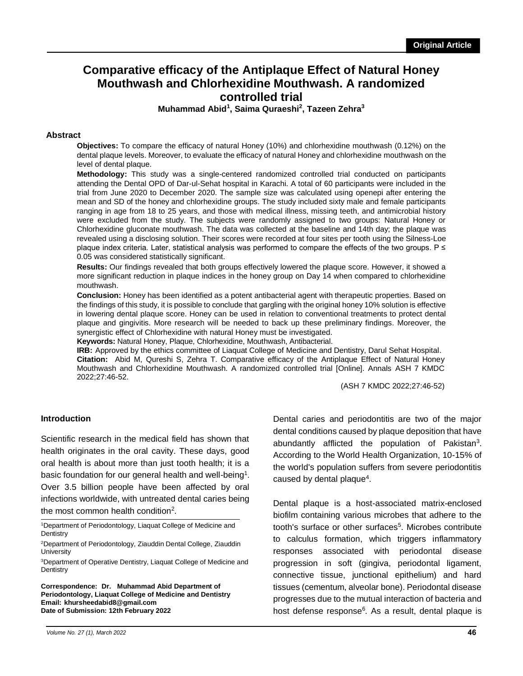# **Comparative efficacy of the Antiplaque Effect of Natural Honey Mouthwash and Chlorhexidine Mouthwash. A randomized controlled trial**

**Muhammad Abid<sup>1</sup> , Saima Quraeshi<sup>2</sup> , Tazeen Zehra<sup>3</sup>**

### **Abstract**

**Objectives:** To compare the efficacy of natural Honey (10%) and chlorhexidine mouthwash (0.12%) on the dental plaque levels. Moreover, to evaluate the efficacy of natural Honey and chlorhexidine mouthwash on the level of dental plaque.

**Methodology:** This study was a single-centered randomized controlled trial conducted on participants attending the Dental OPD of Dar-ul-Sehat hospital in Karachi. A total of 60 participants were included in the trial from June 2020 to December 2020. The sample size was calculated using openepi after entering the mean and SD of the honey and chlorhexidine groups. The study included sixty male and female participants ranging in age from 18 to 25 years, and those with medical illness, missing teeth, and antimicrobial history were excluded from the study. The subjects were randomly assigned to two groups: Natural Honey or Chlorhexidine gluconate mouthwash. The data was collected at the baseline and 14th day; the plaque was revealed using a disclosing solution. Their scores were recorded at four sites per tooth using the Silness-Loe plaque index criteria. Later, statistical analysis was performed to compare the effects of the two groups. P ≤ 0.05 was considered statistically significant.

**Results:** Our findings revealed that both groups effectively lowered the plaque score. However, it showed a more significant reduction in plaque indices in the honey group on Day 14 when compared to chlorhexidine mouthwash.

**Conclusion:** Honey has been identified as a potent antibacterial agent with therapeutic properties. Based on the findings of this study, it is possible to conclude that gargling with the original honey 10% solution is effective in lowering dental plaque score. Honey can be used in relation to conventional treatments to protect dental plaque and gingivitis. More research will be needed to back up these preliminary findings. Moreover, the synergistic effect of Chlorhexidine with natural Honey must be investigated.

**Keywords:** Natural Honey, Plaque, Chlorhexidine, Mouthwash, Antibacterial.

**IRB:** Approved by the ethics committee of Liaquat College of Medicine and Dentistry, Darul Sehat Hospital. **Citation:** Abid M, Qureshi S, Zehra T. Comparative efficacy of the Antiplaque Effect of Natural Honey Mouthwash and Chlorhexidine Mouthwash. A randomized controlled trial [Online]. Annals ASH 7 KMDC 2022;27:46-52.

(ASH 7 KMDC 2022;27:46-52)

### **Introduction**

Scientific research in the medical field has shown that health originates in the oral cavity. These days, good oral health is about more than just tooth health; it is a basic foundation for our general health and well-being<sup>1</sup>. Over 3.5 billion people have been affected by oral infections worldwide, with untreated dental caries being the most common health condition<sup>2</sup>.

<sup>1</sup>Department of Periodontology, Liaquat College of Medicine and **Dentistry** 

<sup>3</sup>Department of Operative Dentistry, Liaquat College of Medicine and **Dentistry** 

**Correspondence: Dr. Muhammad Abid Department of Periodontology, Liaquat College of Medicine and Dentistry Email: khursheedabid8@gmail.com Date of Submission: 12th February 2022** 

Dental caries and periodontitis are two of the major dental conditions caused by plaque deposition that have abundantly afflicted the population of Pakistan<sup>3</sup>. According to the World Health Organization, 10-15% of the world's population suffers from severe periodontitis caused by dental plaque<sup>4</sup>.

Dental plaque is a host-associated matrix-enclosed biofilm containing various microbes that adhere to the tooth's surface or other surfaces<sup>5</sup>. Microbes contribute to calculus formation, which triggers inflammatory responses associated with periodontal disease progression in soft (gingiva, periodontal ligament, connective tissue, junctional epithelium) and hard tissues (cementum, alveolar bone). Periodontal disease progresses due to the mutual interaction of bacteria and host defense response<sup>6</sup>. As a result, dental plaque is

<sup>2</sup>Department of Periodontology, Ziauddin Dental College, Ziauddin **University**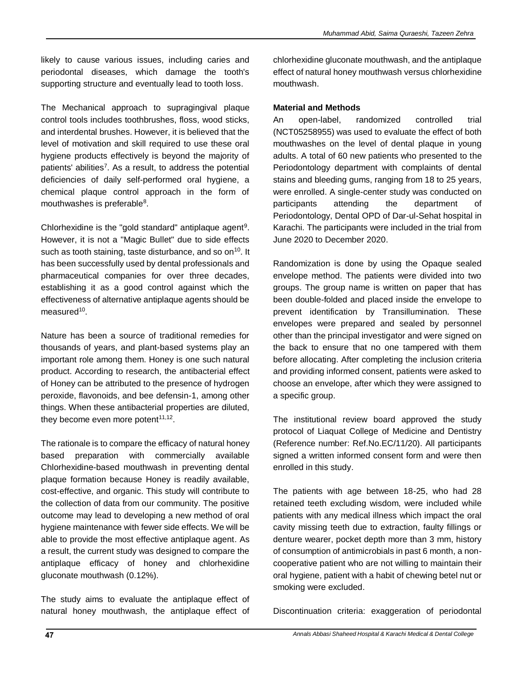likely to cause various issues, including caries and periodontal diseases, which damage the tooth's supporting structure and eventually lead to tooth loss.

The Mechanical approach to supragingival plaque control tools includes toothbrushes, floss, wood sticks, and interdental brushes. However, it is believed that the level of motivation and skill required to use these oral hygiene products effectively is beyond the majority of patients' abilities<sup>7</sup>. As a result, to address the potential deficiencies of daily self-performed oral hygiene, a chemical plaque control approach in the form of mouthwashes is preferable<sup>8</sup>.

Chlorhexidine is the "gold standard" antiplaque agent<sup>9</sup>. However, it is not a "Magic Bullet" due to side effects such as tooth staining, taste disturbance, and so on<sup>10</sup>. It has been successfully used by dental professionals and pharmaceutical companies for over three decades, establishing it as a good control against which the effectiveness of alternative antiplaque agents should be measured<sup>10</sup>.

Nature has been a source of traditional remedies for thousands of years, and plant-based systems play an important role among them. Honey is one such natural product. According to research, the antibacterial effect of Honey can be attributed to the presence of hydrogen peroxide, flavonoids, and bee defensin-1, among other things. When these antibacterial properties are diluted, they become even more potent<sup>11,12</sup>.

The rationale is to compare the efficacy of natural honey based preparation with commercially available Chlorhexidine-based mouthwash in preventing dental plaque formation because Honey is readily available, cost-effective, and organic. This study will contribute to the collection of data from our community. The positive outcome may lead to developing a new method of oral hygiene maintenance with fewer side effects. We will be able to provide the most effective antiplaque agent. As a result, the current study was designed to compare the antiplaque efficacy of honey and chlorhexidine gluconate mouthwash (0.12%).

The study aims to evaluate the antiplaque effect of natural honey mouthwash, the antiplaque effect of

chlorhexidine gluconate mouthwash, and the antiplaque effect of natural honey mouthwash versus chlorhexidine mouthwash.

### **Material and Methods**

An open-label, randomized controlled trial (NCT05258955) was used to evaluate the effect of both mouthwashes on the level of dental plaque in young adults. A total of 60 new patients who presented to the Periodontology department with complaints of dental stains and bleeding gums, ranging from 18 to 25 years, were enrolled. A single-center study was conducted on participants attending the department of Periodontology, Dental OPD of Dar-ul-Sehat hospital in Karachi. The participants were included in the trial from June 2020 to December 2020.

Randomization is done by using the Opaque sealed envelope method. The patients were divided into two groups. The group name is written on paper that has been double-folded and placed inside the envelope to prevent identification by Transillumination. These envelopes were prepared and sealed by personnel other than the principal investigator and were signed on the back to ensure that no one tampered with them before allocating. After completing the inclusion criteria and providing informed consent, patients were asked to choose an envelope, after which they were assigned to a specific group.

The institutional review board approved the study protocol of Liaquat College of Medicine and Dentistry (Reference number: Ref.No.EC/11/20). All participants signed a written informed consent form and were then enrolled in this study.

The patients with age between 18-25, who had 28 retained teeth excluding wisdom, were included while patients with any medical illness which impact the oral cavity missing teeth due to extraction, faulty fillings or denture wearer, pocket depth more than 3 mm, history of consumption of antimicrobials in past 6 month, a noncooperative patient who are not willing to maintain their oral hygiene, patient with a habit of chewing betel nut or smoking were excluded.

Discontinuation criteria: exaggeration of periodontal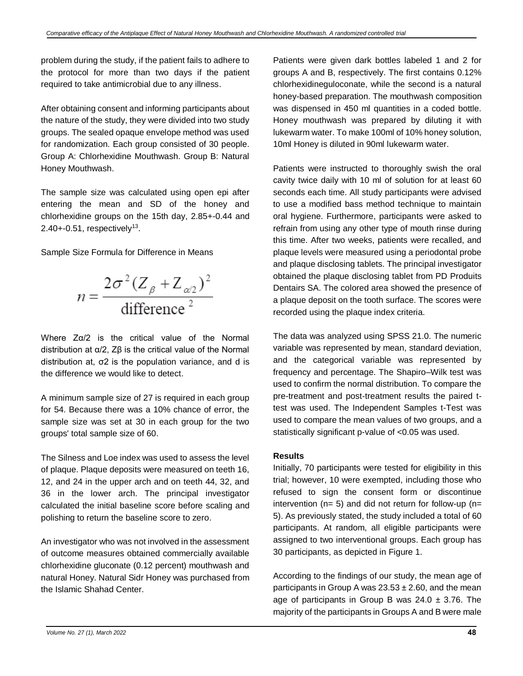problem during the study, if the patient fails to adhere to the protocol for more than two days if the patient required to take antimicrobial due to any illness.

After obtaining consent and informing participants about the nature of the study, they were divided into two study groups. The sealed opaque envelope method was used for randomization. Each group consisted of 30 people. Group A: Chlorhexidine Mouthwash. Group B: Natural Honey Mouthwash.

The sample size was calculated using open epi after entering the mean and SD of the honey and chlorhexidine groups on the 15th day, 2.85+-0.44 and  $2.40 + 0.51$ , respectively<sup>13</sup>.

Sample Size Formula for Difference in Means

$$
n = \frac{2\sigma^2 (Z_{\beta} + Z_{\alpha/2})^2}{\text{difference}^2}
$$

Where Zα/2 is the critical value of the Normal distribution at α/2, Zβ is the critical value of the Normal distribution at, σ2 is the population variance, and d is the difference we would like to detect.

A minimum sample size of 27 is required in each group for 54. Because there was a 10% chance of error, the sample size was set at 30 in each group for the two groups' total sample size of 60.

The Silness and Loe index was used to assess the level of plaque. Plaque deposits were measured on teeth 16, 12, and 24 in the upper arch and on teeth 44, 32, and 36 in the lower arch. The principal investigator calculated the initial baseline score before scaling and polishing to return the baseline score to zero.

An investigator who was not involved in the assessment of outcome measures obtained commercially available chlorhexidine gluconate (0.12 percent) mouthwash and natural Honey. Natural Sidr Honey was purchased from the Islamic Shahad Center.

Patients were given dark bottles labeled 1 and 2 for groups A and B, respectively. The first contains 0.12% chlorhexidineguloconate, while the second is a natural honey-based preparation. The mouthwash composition was dispensed in 450 ml quantities in a coded bottle. Honey mouthwash was prepared by diluting it with lukewarm water. To make 100ml of 10% honey solution, 10ml Honey is diluted in 90ml lukewarm water.

Patients were instructed to thoroughly swish the oral cavity twice daily with 10 ml of solution for at least 60 seconds each time. All study participants were advised to use a modified bass method technique to maintain oral hygiene. Furthermore, participants were asked to refrain from using any other type of mouth rinse during this time. After two weeks, patients were recalled, and plaque levels were measured using a periodontal probe and plaque disclosing tablets. The principal investigator obtained the plaque disclosing tablet from PD Produits Dentairs SA. The colored area showed the presence of a plaque deposit on the tooth surface. The scores were recorded using the plaque index criteria.

The data was analyzed using SPSS 21.0. The numeric variable was represented by mean, standard deviation, and the categorical variable was represented by frequency and percentage. The Shapiro–Wilk test was used to confirm the normal distribution. To compare the pre-treatment and post-treatment results the paired ttest was used. The Independent Samples t-Test was used to compare the mean values of two groups, and a statistically significant p-value of <0.05 was used.

### **Results**

Initially, 70 participants were tested for eligibility in this trial; however, 10 were exempted, including those who refused to sign the consent form or discontinue intervention ( $n= 5$ ) and did not return for follow-up ( $n=$ 5). As previously stated, the study included a total of 60 participants. At random, all eligible participants were assigned to two interventional groups. Each group has 30 participants, as depicted in Figure 1.

According to the findings of our study, the mean age of participants in Group A was  $23.53 \pm 2.60$ , and the mean age of participants in Group B was  $24.0 \pm 3.76$ . The majority of the participants in Groups A and B were male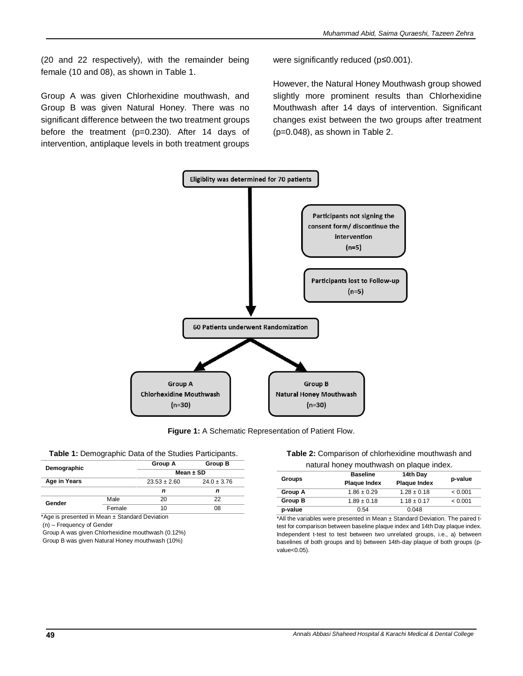(20 and 22 respectively), with the remainder being female (10 and 08), as shown in Table 1.

Group A was given Chlorhexidine mouthwash, and Group B was given Natural Honey. There was no significant difference between the two treatment groups before the treatment (p=0.230). After 14 days of intervention, antiplaque levels in both treatment groups

were significantly reduced (p≤0.001).

However, the Natural Honey Mouthwash group showed slightly more prominent results than Chlorhexidine Mouthwash after 14 days of intervention. Significant changes exist between the two groups after treatment (p=0.048), as shown in Table 2.



**Figure 1:** A Schematic Representation of Patient Flow.

| Table 1: Demographic Data of the Studies Participants. |  |
|--------------------------------------------------------|--|
|--------------------------------------------------------|--|

|              |        | Group A          | Group B         |
|--------------|--------|------------------|-----------------|
| Demographic  |        | Mean $\pm$ SD    |                 |
| Age in Years |        | $23.53 \pm 2.60$ | $24.0 \pm 3.76$ |
|              |        | n                |                 |
| Gender       | Male   | 20               | 22              |
|              | Female | 10               | 08              |

\*Age is presented in Mean ± Standard Deviation

(n) – Frequency of Gender

Group A was given Chlorhexidine mouthwash (0.12%) Group B was given Natural Honey mouthwash (10%)

#### **Table 2:** Comparison of chlorhexidine mouthwash and natural honey mouthwash on plaque index.

| <u>Hatarai Hong Hiodiliwashi on piagac indox.</u> |                     |                     |         |  |
|---------------------------------------------------|---------------------|---------------------|---------|--|
| <b>Groups</b>                                     | <b>Baseline</b>     | 14th Day            |         |  |
|                                                   | <b>Plaque Index</b> | <b>Plaque Index</b> | p-value |  |
| Group A                                           | $1.86 \pm 0.29$     | $1.28 \pm 0.18$     | < 0.001 |  |
| Group B                                           | $1.89 \pm 0.18$     | $1.18 \pm 0.17$     | < 0.001 |  |
| p-value                                           | 0.54                | 0.048               |         |  |

\*All the variables were presented in Mean ± Standard Deviation. The paired ttest for comparison between baseline plaque index and 14th Day plaque index. Independent t-test to test between two unrelated groups, i.e., a) between baselines of both groups and b) between 14th-day plaque of both groups (pvalue<0.05).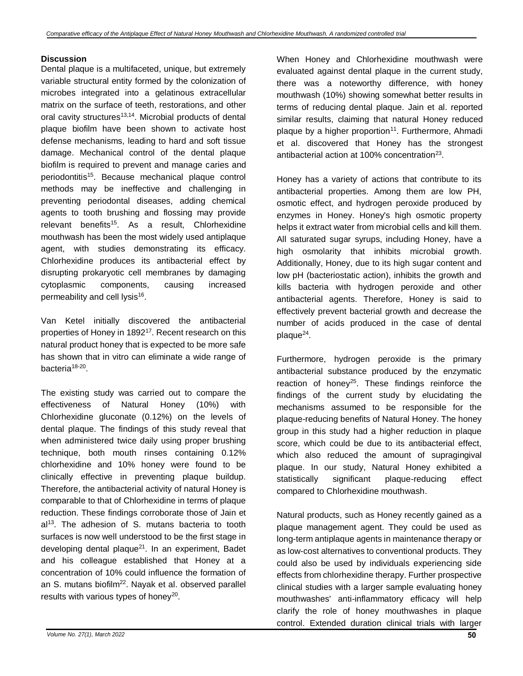### **Discussion**

Dental plaque is a multifaceted, unique, but extremely variable structural entity formed by the colonization of microbes integrated into a gelatinous extracellular matrix on the surface of teeth, restorations, and other oral cavity structures<sup>13,14</sup>. Microbial products of dental plaque biofilm have been shown to activate host defense mechanisms, leading to hard and soft tissue damage. Mechanical control of the dental plaque biofilm is required to prevent and manage caries and periodontitis<sup>15</sup>. Because mechanical plaque control methods may be ineffective and challenging in preventing periodontal diseases, adding chemical agents to tooth brushing and flossing may provide relevant benefits<sup>15</sup>. As a result, Chlorhexidine mouthwash has been the most widely used antiplaque agent, with studies demonstrating its efficacy. Chlorhexidine produces its antibacterial effect by disrupting prokaryotic cell membranes by damaging cytoplasmic components, causing increased permeability and cell lysis<sup>16</sup>.

Van Ketel initially discovered the antibacterial properties of Honey in 1892<sup>17</sup>. Recent research on this natural product honey that is expected to be more safe has shown that in vitro can eliminate a wide range of bacteria<sup>18-20</sup>.

The existing study was carried out to compare the effectiveness of Natural Honey (10%) with Chlorhexidine gluconate (0.12%) on the levels of dental plaque. The findings of this study reveal that when administered twice daily using proper brushing technique, both mouth rinses containing 0.12% chlorhexidine and 10% honey were found to be clinically effective in preventing plaque buildup. Therefore, the antibacterial activity of natural Honey is comparable to that of Chlorhexidine in terms of plaque reduction. These findings corroborate those of Jain et  $al<sup>13</sup>$ . The adhesion of S. mutans bacteria to tooth surfaces is now well understood to be the first stage in developing dental plaque $^{21}$ . In an experiment, Badet and his colleague established that Honey at a concentration of 10% could influence the formation of an S. mutans biofilm<sup>22</sup>. Nayak et al. observed parallel results with various types of honey<sup>20</sup>.

When Honey and Chlorhexidine mouthwash were evaluated against dental plaque in the current study, there was a noteworthy difference, with honey mouthwash (10%) showing somewhat better results in terms of reducing dental plaque. Jain et al. reported similar results, claiming that natural Honey reduced plaque by a higher proportion<sup>11</sup>. Furthermore, Ahmadi et al. discovered that Honey has the strongest antibacterial action at 100% concentration $^{23}$ .

Honey has a variety of actions that contribute to its antibacterial properties. Among them are low PH, osmotic effect, and hydrogen peroxide produced by enzymes in Honey. Honey's high osmotic property helps it extract water from microbial cells and kill them. All saturated sugar syrups, including Honey, have a high osmolarity that inhibits microbial growth. Additionally, Honey, due to its high sugar content and low pH (bacteriostatic action), inhibits the growth and kills bacteria with hydrogen peroxide and other antibacterial agents. Therefore, Honey is said to effectively prevent bacterial growth and decrease the number of acids produced in the case of dental plaque<sup>24</sup>.

Furthermore, hydrogen peroxide is the primary antibacterial substance produced by the enzymatic reaction of honey<sup>25</sup>. These findings reinforce the findings of the current study by elucidating the mechanisms assumed to be responsible for the plaque-reducing benefits of Natural Honey. The honey group in this study had a higher reduction in plaque score, which could be due to its antibacterial effect, which also reduced the amount of supragingival plaque. In our study, Natural Honey exhibited a statistically significant plaque-reducing effect compared to Chlorhexidine mouthwash.

Natural products, such as Honey recently gained as a plaque management agent. They could be used as long-term antiplaque agents in maintenance therapy or as low-cost alternatives to conventional products. They could also be used by individuals experiencing side effects from chlorhexidine therapy. Further prospective clinical studies with a larger sample evaluating honey mouthwashes' anti-inflammatory efficacy will help clarify the role of honey mouthwashes in plaque control. Extended duration clinical trials with larger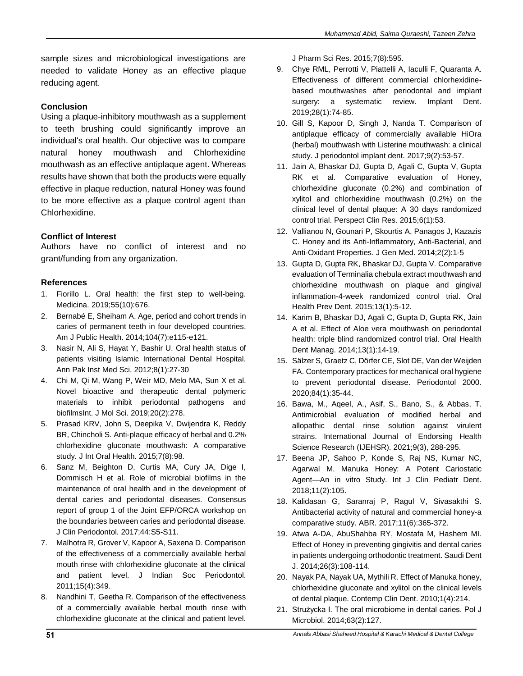sample sizes and microbiological investigations are needed to validate Honey as an effective plaque reducing agent.

### **Conclusion**

Using a plaque-inhibitory mouthwash as a supplement to teeth brushing could significantly improve an individual's oral health. Our objective was to compare natural honey mouthwash and Chlorhexidine mouthwash as an effective antiplaque agent. Whereas results have shown that both the products were equally effective in plaque reduction, natural Honey was found to be more effective as a plaque control agent than Chlorhexidine.

# **Conflict of Interest**

Authors have no conflict of interest and no grant/funding from any organization.

# **References**

- 1. Fiorillo L. Oral health: the first step to well-being. Medicina. 2019;55(10):676.
- 2. Bernabé E, Sheiham A. Age, period and cohort trends in caries of permanent teeth in four developed countries. Am J Public Health. 2014;104(7):e115-e121.
- 3. Nasir N, Ali S, Hayat Y, Bashir U. Oral health status of patients visiting Islamic International Dental Hospital. Ann Pak Inst Med Sci. 2012;8(1):27-30
- 4. Chi M, Qi M, Wang P, Weir MD, Melo MA, Sun X et al. Novel bioactive and therapeutic dental polymeric materials to inhibit periodontal pathogens and biofilmsInt. J Mol Sci. 2019;20(2):278.
- 5. Prasad KRV, John S, Deepika V, Dwijendra K, Reddy BR, Chincholi S. Anti-plaque efficacy of herbal and 0.2% chlorhexidine gluconate mouthwash: A comparative study. J Int Oral Health. 2015;7(8):98.
- 6. Sanz M, Beighton D, Curtis MA, Cury JA, Dige I, Dommisch H et al. Role of microbial biofilms in the maintenance of oral health and in the development of dental caries and periodontal diseases. Consensus report of group 1 of the Joint EFP/ORCA workshop on the boundaries between caries and periodontal disease. J Clin Periodontol. 2017;44:S5-S11.
- 7. Malhotra R, Grover V, Kapoor A, Saxena D. Comparison of the effectiveness of a commercially available herbal mouth rinse with chlorhexidine gluconate at the clinical and patient level. J Indian Soc Periodontol. 2011;15(4):349.
- 8. Nandhini T, Geetha R. Comparison of the effectiveness of a commercially available herbal mouth rinse with chlorhexidine gluconate at the clinical and patient level.

J Pharm Sci Res. 2015;7(8):595.

- 9. Chye RML, Perrotti V, Piattelli A, Iaculli F, Quaranta A. Effectiveness of different commercial chlorhexidinebased mouthwashes after periodontal and implant surgery: a systematic review. Implant Dent. 2019;28(1):74-85.
- 10. Gill S, Kapoor D, Singh J, Nanda T. Comparison of antiplaque efficacy of commercially available HiOra (herbal) mouthwash with Listerine mouthwash: a clinical study. J periodontol implant dent. 2017;9(2):53-57.
- 11. Jain A, Bhaskar DJ, Gupta D, Agali C, Gupta V, Gupta RK et al. Comparative evaluation of Honey, chlorhexidine gluconate (0.2%) and combination of xylitol and chlorhexidine mouthwash (0.2%) on the clinical level of dental plaque: A 30 days randomized control trial. Perspect Clin Res. 2015;6(1):53.
- 12. Vallianou N, Gounari P, Skourtis A, Panagos J, Kazazis C. Honey and its Anti-Inflammatory, Anti-Bacterial, and Anti-Oxidant Properties. J Gen Med. 2014;2(2):1-5
- 13. Gupta D, Gupta RK, Bhaskar DJ, Gupta V. Comparative evaluation of Terminalia chebula extract mouthwash and chlorhexidine mouthwash on plaque and gingival inflammation-4-week randomized control trial. Oral Health Prev Dent. 2015;13(1):5-12.
- 14. Karim B, Bhaskar DJ, Agali C, Gupta D, Gupta RK, Jain A et al. Effect of Aloe vera mouthwash on periodontal health: triple blind randomized control trial. Oral Health Dent Manag. 2014;13(1):14-19.
- 15. Sälzer S, Graetz C, Dörfer CE, Slot DE, Van der Weijden FA. Contemporary practices for mechanical oral hygiene to prevent periodontal disease. Periodontol 2000. 2020;84(1):35-44.
- 16. Bawa, M., Aqeel, A., Asif, S., Bano, S., & Abbas, T. Antimicrobial evaluation of modified herbal and allopathic dental rinse solution against virulent strains. International Journal of Endorsing Health Science Research (IJEHSR). 2021;9(3), 288-295.
- 17. Beena JP, Sahoo P, Konde S, Raj NS, Kumar NC, Agarwal M. Manuka Honey: A Potent Cariostatic Agent—An in vitro Study. Int J Clin Pediatr Dent. 2018;11(2):105.
- 18. Kalidasan G, Saranraj P, Ragul V, Sivasakthi S. Antibacterial activity of natural and commercial honey-a comparative study. ABR. 2017;11(6):365-372.
- 19. Atwa A-DA, AbuShahba RY, Mostafa M, Hashem MI. Effect of Honey in preventing gingivitis and dental caries in patients undergoing orthodontic treatment. Saudi Dent J. 2014;26(3):108-114.
- 20. Nayak PA, Nayak UA, Mythili R. Effect of Manuka honey, chlorhexidine gluconate and xylitol on the clinical levels of dental plaque. Contemp Clin Dent. 2010;1(4):214.
- 21. Strużycka I. The oral microbiome in dental caries. Pol J Microbiol. 2014;63(2):127.